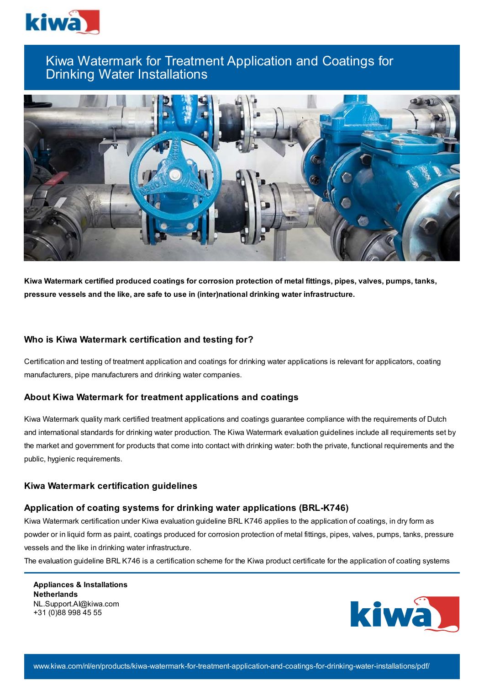

# Kiwa Watermark for Treatment Application and Coatings for Drinking Water Installations



**Kiwa Watermark certified produced coatings for corrosion protection of metal fittings, pipes, valves, pumps, tanks, pressure vessels and the like, are safe to use in (inter)national drinking water infrastructure.**

## **Who is Kiwa Watermark certification and testing for?**

Certification and testing of treatment application and coatings for drinking water applications is relevant for applicators, coating manufacturers, pipe manufacturers and drinking water companies.

# **About Kiwa Watermark for treatment applications and coatings**

Kiwa Watermark quality mark certified treatment applications and coatings guarantee compliance with the requirements of Dutch and international standards for drinking water production. The Kiwa Watermark evaluation guidelines include all requirements set by the market and government for products that come into contact with drinking water: both the private, functional requirements and the public, hygienic requirements.

## **Kiwa Watermark certification guidelines**

## **Application of coating systems for drinking water applications (BRL-K746)**

Kiwa Watermark certification under Kiwa evaluation guideline BRL K746 applies to the application of coatings, in dry form as powder or in liquid form as paint, coatings produced for corrosion protection of metal fittings, pipes, valves, pumps, tanks, pressure vessels and the like in drinking water infrastructure.

The evaluation guideline BRL K746 is a certification scheme for the Kiwa product certificate for the application of coating systems

**Appliances & Installations Netherlands** NL.Support.AI@kiwa.com +31 (0)88 998 45 55

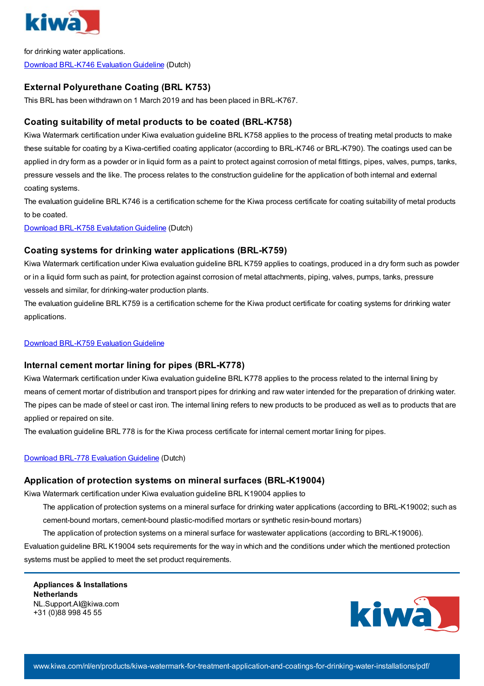

for drinking water applications. Download [BRL-K746](https://www.kiwa.com//4ac099/globalassets/dam/kiwa-netherlands/downloads/k7462.pdf) Evaluation Guideline (Dutch)

# **External Polyurethane Coating (BRL K753)**

This BRL has been withdrawn on 1 March 2019 and has been placed in BRL-K767.

# **Coating suitability of metal products to be coated (BRL-K758)**

Kiwa Watermark certification under Kiwa evaluation guideline BRL K758 applies to the process of treating metal products to make these suitable for coating by a Kiwa-certified coating applicator (according to BRL-K746 or BRL-K790). The coatings used can be applied in dry form as a powder or in liquid form as a paint to protect against corrosion of metal fittings, pipes, valves, pumps, tanks, pressure vessels and the like. The process relates to the construction guideline for the application of both internal and external coating systems.

The evaluation guideline BRL K746 is a certification scheme for the Kiwa process certificate for coating suitability of metal products to be coated.

Download BRL-K758 [Evalutation](https://www.kiwa.com//4ac07e/globalassets/dam/kiwa-netherlands/downloads/brl-k758---nl2.pdf) Guideline (Dutch)

# **Coating systems for drinking water applications (BRL-K759)**

Kiwa Watermark certification under Kiwa evaluation guideline BRL K759 applies to coatings, produced in a dry form such as powder or in a liquid form such as paint, for protection against corrosion of metal attachments, piping, valves, pumps, tanks, pressure vessels and similar, for drinking-water production plants.

The evaluation guideline BRL K759 is a certification scheme for the Kiwa product certificate for coating systems for drinking water applications.

#### Download [BRL-K759](https://www.kiwa.com//4ad82a/globalassets/dam/kiwa-corporate/downloads/brl-k759---coating-systems-for-drinking-water-applications----en---binding---20191202.pdf) Evaluation Guideline

## **Internal cement mortar lining for pipes (BRL-K778)**

Kiwa Watermark certification under Kiwa evaluation guideline BRL K778 applies to the process related to the internal lining by means of cement mortar of distribution and transport pipes for drinking and raw water intended for the preparation of drinking water. The pipes can be made of steel or cast iron. The internal lining refers to new products to be produced as well as to products that are applied or repaired on site.

The evaluation guideline BRL 778 is for the Kiwa process certificate for internal cement mortar lining for pipes.

## Download BRL-778 [Evaluation](https://www.kiwa.com//4ac0b4/globalassets/dam/kiwa-netherlands/downloads/k7782.pdf) Guideline (Dutch)

## **Application of protection systems on mineral surfaces (BRL-K19004)**

Kiwa Watermark certification under Kiwa evaluation guideline BRL K19004 applies to

The application of protection systems on a mineral surface for drinking water applications (according to BRL-K19002; such as cement-bound mortars, cement-bound plastic-modified mortars or synthetic resin-bound mortars)

The application of protection systems on a mineral surface for wastewater applications (according to BRL-K19006).

Evaluation guideline BRL K19004 sets requirements for the way in which and the conditions under which the mentioned protection systems must be applied to meet the set product requirements.

**Appliances & Installations Netherlands** NL.Support.AI@kiwa.com +31 (0)88 998 45 55